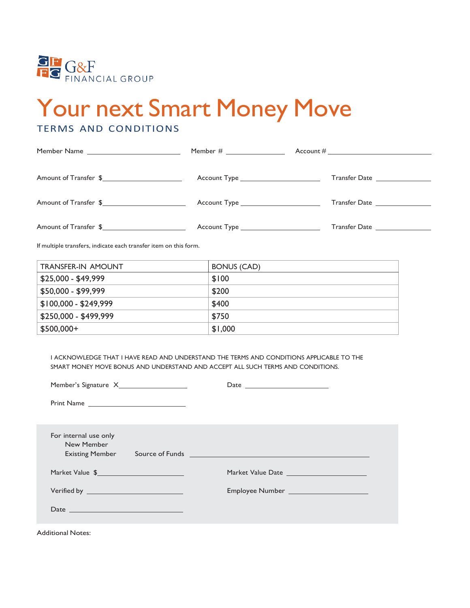

# Your next Smart Money Move

## TERMS AND CONDITIONS

|                       |                                        | Account # $\_$                    |
|-----------------------|----------------------------------------|-----------------------------------|
| Amount of Transfer \$ | Account Type _________________________ | Transfer Date                     |
| Amount of Transfer \$ |                                        | Transfer Date <b>Example 20</b>   |
|                       | Account Type ________________________  |                                   |
| Amount of Transfer \$ | Account Type _________________________ | Transfer Date <b>Example 2018</b> |

If multiple transfers, indicate each transfer item on this form.

| <b>TRANSFER-IN AMOUNT</b> | BONUS (CAD) |
|---------------------------|-------------|
| $$25,000 - $49,999$       | \$100       |
| \$50,000 - \$99,999       | \$200       |
| $$100,000 - $249,999$     | \$400       |
| \$250,000 - \$499,999     | \$750       |
| $$500,000+$               | \$1,000     |

I ACKNOWLEDGE THAT I HAVE READ AND UNDERSTAND THE TERMS AND CONDITIONS APPLICABLE TO THE SMART MONEY MOVE BONUS AND UNDERSTAND AND ACCEPT ALL SUCH TERMS AND CONDITIONS.

| For internal use only<br>New Member<br><b>Existing Member</b><br>Market Value \$ 2000 million and the contract of the contract of the contract of the contract of the contract of the contract of the contract of the contract of the contract of the contract of the contract of the contract o<br>Verified by _____________________________<br>Date $\qquad \qquad$ $\qquad \qquad$ $\qquad$ $\qquad$ $\qquad$ $\qquad$ $\qquad$ $\qquad$ $\qquad$ $\qquad$ $\qquad$ $\qquad$ $\qquad$ $\qquad$ $\qquad$ $\qquad$ $\qquad$ $\qquad$ $\qquad$ $\qquad$ $\qquad$ $\qquad$ $\qquad$ $\qquad$ $\qquad$ $\qquad$ $\qquad$ $\qquad$ $\qquad$ $\qquad$ $\qquad$ $\qquad$ $\qquad$ $\qquad$ $\qquad$ | Market Value Date<br>Employee Number _______________________ |
|------------------------------------------------------------------------------------------------------------------------------------------------------------------------------------------------------------------------------------------------------------------------------------------------------------------------------------------------------------------------------------------------------------------------------------------------------------------------------------------------------------------------------------------------------------------------------------------------------------------------------------------------------------------------------------------------|--------------------------------------------------------------|
|                                                                                                                                                                                                                                                                                                                                                                                                                                                                                                                                                                                                                                                                                                |                                                              |

Additional Notes: